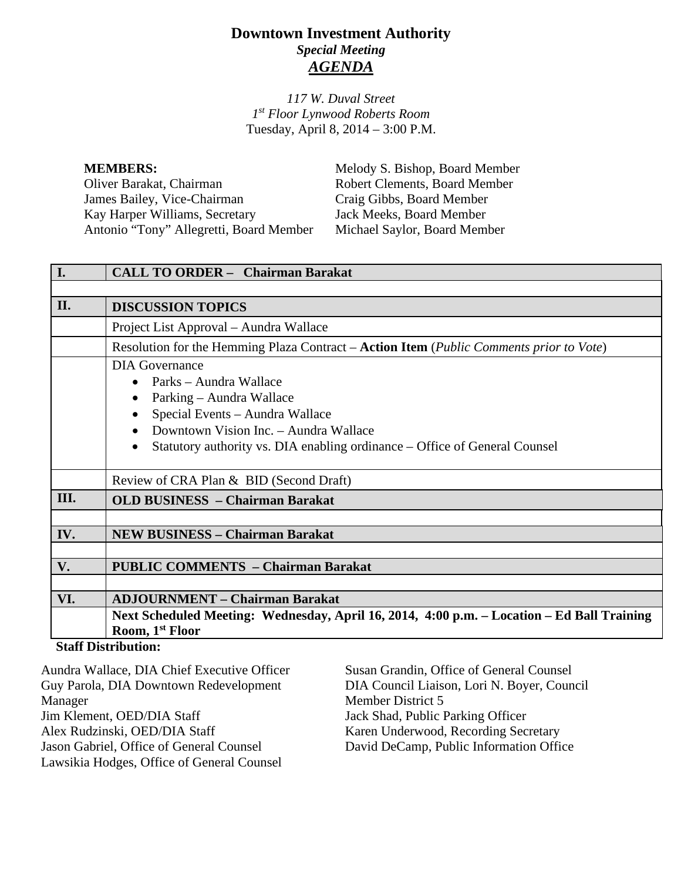# **Downtown Investment Authority** *Special Meeting AGENDA*

*117 W. Duval Street 1st Floor Lynwood Roberts Room* Tuesday, April 8, 2014 – 3:00 P.M.

**MEMBERS:** Melody S. Bishop, Board Member Oliver Barakat, Chairman Robert Clements, Board Member<br>
James Bailey, Vice-Chairman Craig Gibbs, Board Member James Bailey, Vice-Chairman Craig Gibbs, Board Member<br>
Kay Harper Williams, Secretary Jack Meeks, Board Member Kay Harper Williams, Secretary Jack Meeks, Board Member<br>Antonio "Tony" Allegretti, Board Member Michael Saylor, Board Member Antonio "Tony" Allegretti, Board Member

| I.   | <b>CALL TO ORDER - Chairman Barakat</b>                                                                                                                                                                                                     |  |
|------|---------------------------------------------------------------------------------------------------------------------------------------------------------------------------------------------------------------------------------------------|--|
|      |                                                                                                                                                                                                                                             |  |
| II.  | <b>DISCUSSION TOPICS</b>                                                                                                                                                                                                                    |  |
|      | Project List Approval – Aundra Wallace                                                                                                                                                                                                      |  |
|      | Resolution for the Hemming Plaza Contract – Action Item (Public Comments prior to Vote)                                                                                                                                                     |  |
|      | DIA Governance<br>Parks – Aundra Wallace<br>Parking - Aundra Wallace<br>Special Events - Aundra Wallace<br>Downtown Vision Inc. - Aundra Wallace<br>Statutory authority vs. DIA enabling ordinance – Office of General Counsel<br>$\bullet$ |  |
|      | Review of CRA Plan & BID (Second Draft)                                                                                                                                                                                                     |  |
| III. | <b>OLD BUSINESS</b> – Chairman Barakat                                                                                                                                                                                                      |  |
|      |                                                                                                                                                                                                                                             |  |
| IV.  | <b>NEW BUSINESS - Chairman Barakat</b>                                                                                                                                                                                                      |  |
|      |                                                                                                                                                                                                                                             |  |
| V.   | <b>PUBLIC COMMENTS - Chairman Barakat</b>                                                                                                                                                                                                   |  |
|      |                                                                                                                                                                                                                                             |  |
| VI.  | <b>ADJOURNMENT – Chairman Barakat</b>                                                                                                                                                                                                       |  |
|      | Next Scheduled Meeting: Wednesday, April 16, 2014, 4:00 p.m. – Location – Ed Ball Training<br>Room, 1 <sup>st</sup> Floor                                                                                                                   |  |
|      | <b>Staff Distribution:</b>                                                                                                                                                                                                                  |  |

#### **Staff Distribution:**

| Aundra Wallace, DIA Chief Executive Officer | Susan Grandin, Office of General Counsel    |
|---------------------------------------------|---------------------------------------------|
| Guy Parola, DIA Downtown Redevelopment      | DIA Council Liaison, Lori N. Boyer, Council |
| Manager                                     | Member District 5                           |
| Jim Klement, OED/DIA Staff                  | Jack Shad, Public Parking Officer           |
| Alex Rudzinski, OED/DIA Staff               | Karen Underwood, Recording Secretary        |
| Jason Gabriel, Office of General Counsel    | David DeCamp, Public Information Office     |
| Lawsikia Hodges, Office of General Counsel  |                                             |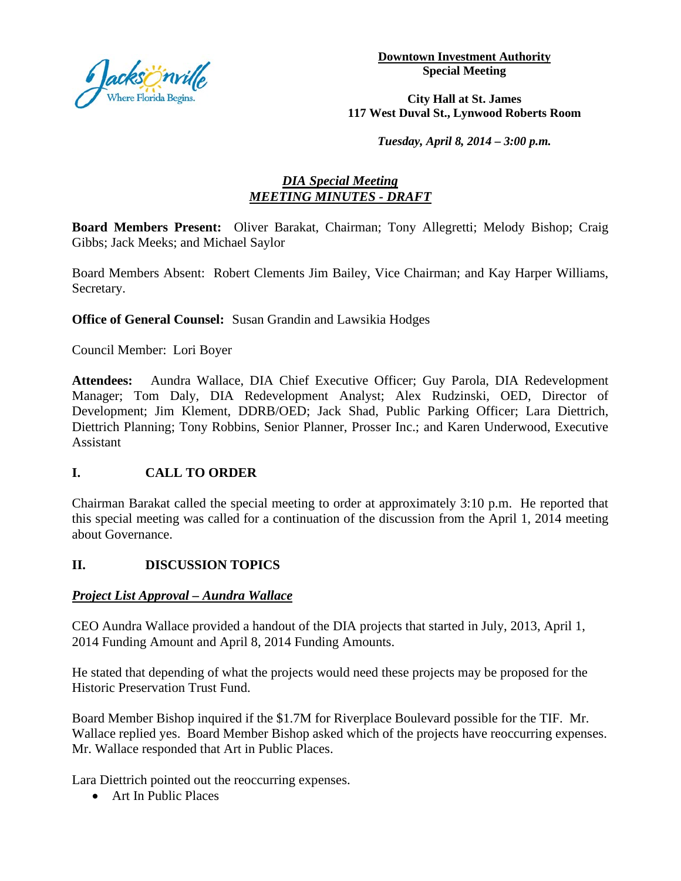

**Downtown Investment Authority Special Meeting** 

#### **City Hall at St. James 117 West Duval St., Lynwood Roberts Room**

*Tuesday, April 8, 2014 – 3:00 p.m.*

## *DIA Special Meeting MEETING MINUTES - DRAFT*

**Board Members Present:** Oliver Barakat, Chairman; Tony Allegretti; Melody Bishop; Craig Gibbs; Jack Meeks; and Michael Saylor

Board Members Absent: Robert Clements Jim Bailey, Vice Chairman; and Kay Harper Williams, Secretary.

**Office of General Counsel:** Susan Grandin and Lawsikia Hodges

Council Member: Lori Boyer

**Attendees:** Aundra Wallace, DIA Chief Executive Officer; Guy Parola, DIA Redevelopment Manager; Tom Daly, DIA Redevelopment Analyst; Alex Rudzinski, OED, Director of Development; Jim Klement, DDRB/OED; Jack Shad, Public Parking Officer; Lara Diettrich, Diettrich Planning; Tony Robbins, Senior Planner, Prosser Inc.; and Karen Underwood, Executive Assistant

#### **I. CALL TO ORDER**

Chairman Barakat called the special meeting to order at approximately 3:10 p.m. He reported that this special meeting was called for a continuation of the discussion from the April 1, 2014 meeting about Governance.

## **II. DISCUSSION TOPICS**

#### *Project List Approval – Aundra Wallace*

CEO Aundra Wallace provided a handout of the DIA projects that started in July, 2013, April 1, 2014 Funding Amount and April 8, 2014 Funding Amounts.

He stated that depending of what the projects would need these projects may be proposed for the Historic Preservation Trust Fund.

Board Member Bishop inquired if the \$1.7M for Riverplace Boulevard possible for the TIF. Mr. Wallace replied yes. Board Member Bishop asked which of the projects have reoccurring expenses. Mr. Wallace responded that Art in Public Places.

Lara Diettrich pointed out the reoccurring expenses.

• Art In Public Places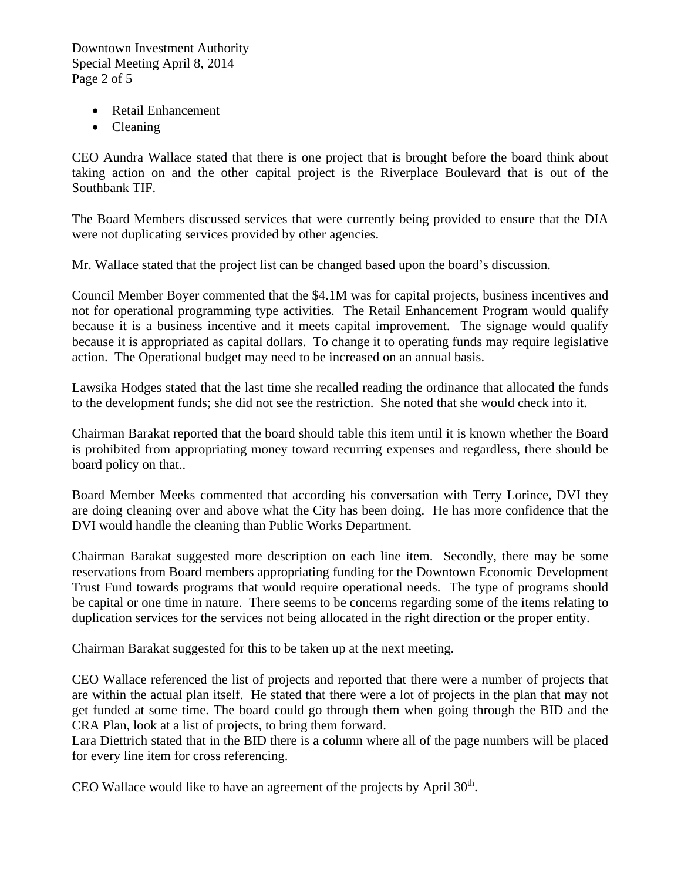Downtown Investment Authority Special Meeting April 8, 2014 Page 2 of 5

- Retail Enhancement
- Cleaning

CEO Aundra Wallace stated that there is one project that is brought before the board think about taking action on and the other capital project is the Riverplace Boulevard that is out of the Southbank TIF.

The Board Members discussed services that were currently being provided to ensure that the DIA were not duplicating services provided by other agencies.

Mr. Wallace stated that the project list can be changed based upon the board's discussion.

Council Member Boyer commented that the \$4.1M was for capital projects, business incentives and not for operational programming type activities. The Retail Enhancement Program would qualify because it is a business incentive and it meets capital improvement. The signage would qualify because it is appropriated as capital dollars. To change it to operating funds may require legislative action. The Operational budget may need to be increased on an annual basis.

Lawsika Hodges stated that the last time she recalled reading the ordinance that allocated the funds to the development funds; she did not see the restriction. She noted that she would check into it.

Chairman Barakat reported that the board should table this item until it is known whether the Board is prohibited from appropriating money toward recurring expenses and regardless, there should be board policy on that..

Board Member Meeks commented that according his conversation with Terry Lorince, DVI they are doing cleaning over and above what the City has been doing. He has more confidence that the DVI would handle the cleaning than Public Works Department.

Chairman Barakat suggested more description on each line item. Secondly, there may be some reservations from Board members appropriating funding for the Downtown Economic Development Trust Fund towards programs that would require operational needs. The type of programs should be capital or one time in nature. There seems to be concerns regarding some of the items relating to duplication services for the services not being allocated in the right direction or the proper entity.

Chairman Barakat suggested for this to be taken up at the next meeting.

CEO Wallace referenced the list of projects and reported that there were a number of projects that are within the actual plan itself. He stated that there were a lot of projects in the plan that may not get funded at some time. The board could go through them when going through the BID and the CRA Plan, look at a list of projects, to bring them forward.

Lara Diettrich stated that in the BID there is a column where all of the page numbers will be placed for every line item for cross referencing.

CEO Wallace would like to have an agreement of the projects by April 30<sup>th</sup>.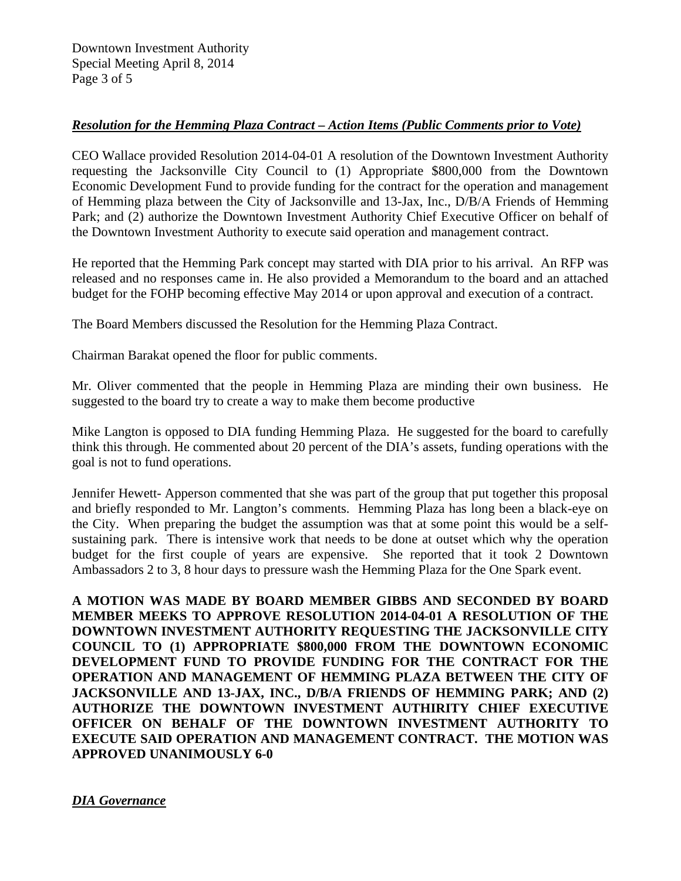### *Resolution for the Hemming Plaza Contract – Action Items (Public Comments prior to Vote)*

CEO Wallace provided Resolution 2014-04-01 A resolution of the Downtown Investment Authority requesting the Jacksonville City Council to (1) Appropriate \$800,000 from the Downtown Economic Development Fund to provide funding for the contract for the operation and management of Hemming plaza between the City of Jacksonville and 13-Jax, Inc., D/B/A Friends of Hemming Park; and (2) authorize the Downtown Investment Authority Chief Executive Officer on behalf of the Downtown Investment Authority to execute said operation and management contract.

He reported that the Hemming Park concept may started with DIA prior to his arrival. An RFP was released and no responses came in. He also provided a Memorandum to the board and an attached budget for the FOHP becoming effective May 2014 or upon approval and execution of a contract.

The Board Members discussed the Resolution for the Hemming Plaza Contract.

Chairman Barakat opened the floor for public comments.

Mr. Oliver commented that the people in Hemming Plaza are minding their own business. He suggested to the board try to create a way to make them become productive

Mike Langton is opposed to DIA funding Hemming Plaza. He suggested for the board to carefully think this through. He commented about 20 percent of the DIA's assets, funding operations with the goal is not to fund operations.

Jennifer Hewett- Apperson commented that she was part of the group that put together this proposal and briefly responded to Mr. Langton's comments. Hemming Plaza has long been a black-eye on the City. When preparing the budget the assumption was that at some point this would be a selfsustaining park. There is intensive work that needs to be done at outset which why the operation budget for the first couple of years are expensive. She reported that it took 2 Downtown Ambassadors 2 to 3, 8 hour days to pressure wash the Hemming Plaza for the One Spark event.

**A MOTION WAS MADE BY BOARD MEMBER GIBBS AND SECONDED BY BOARD MEMBER MEEKS TO APPROVE RESOLUTION 2014-04-01 A RESOLUTION OF THE DOWNTOWN INVESTMENT AUTHORITY REQUESTING THE JACKSONVILLE CITY COUNCIL TO (1) APPROPRIATE \$800,000 FROM THE DOWNTOWN ECONOMIC DEVELOPMENT FUND TO PROVIDE FUNDING FOR THE CONTRACT FOR THE OPERATION AND MANAGEMENT OF HEMMING PLAZA BETWEEN THE CITY OF JACKSONVILLE AND 13-JAX, INC., D/B/A FRIENDS OF HEMMING PARK; AND (2) AUTHORIZE THE DOWNTOWN INVESTMENT AUTHIRITY CHIEF EXECUTIVE OFFICER ON BEHALF OF THE DOWNTOWN INVESTMENT AUTHORITY TO EXECUTE SAID OPERATION AND MANAGEMENT CONTRACT. THE MOTION WAS APPROVED UNANIMOUSLY 6-0**

*DIA Governance*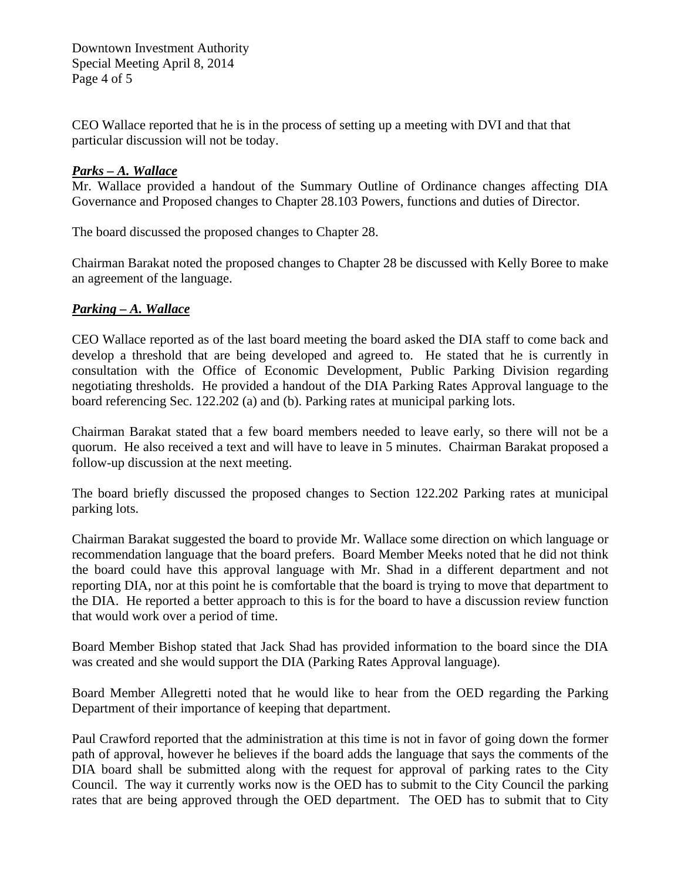Downtown Investment Authority Special Meeting April 8, 2014 Page 4 of 5

CEO Wallace reported that he is in the process of setting up a meeting with DVI and that that particular discussion will not be today.

### *Parks – A. Wallace*

Mr. Wallace provided a handout of the Summary Outline of Ordinance changes affecting DIA Governance and Proposed changes to Chapter 28.103 Powers, functions and duties of Director.

The board discussed the proposed changes to Chapter 28.

Chairman Barakat noted the proposed changes to Chapter 28 be discussed with Kelly Boree to make an agreement of the language.

### *Parking – A. Wallace*

CEO Wallace reported as of the last board meeting the board asked the DIA staff to come back and develop a threshold that are being developed and agreed to. He stated that he is currently in consultation with the Office of Economic Development, Public Parking Division regarding negotiating thresholds. He provided a handout of the DIA Parking Rates Approval language to the board referencing Sec. 122.202 (a) and (b). Parking rates at municipal parking lots.

Chairman Barakat stated that a few board members needed to leave early, so there will not be a quorum. He also received a text and will have to leave in 5 minutes. Chairman Barakat proposed a follow-up discussion at the next meeting.

The board briefly discussed the proposed changes to Section 122.202 Parking rates at municipal parking lots.

Chairman Barakat suggested the board to provide Mr. Wallace some direction on which language or recommendation language that the board prefers. Board Member Meeks noted that he did not think the board could have this approval language with Mr. Shad in a different department and not reporting DIA, nor at this point he is comfortable that the board is trying to move that department to the DIA. He reported a better approach to this is for the board to have a discussion review function that would work over a period of time.

Board Member Bishop stated that Jack Shad has provided information to the board since the DIA was created and she would support the DIA (Parking Rates Approval language).

Board Member Allegretti noted that he would like to hear from the OED regarding the Parking Department of their importance of keeping that department.

Paul Crawford reported that the administration at this time is not in favor of going down the former path of approval, however he believes if the board adds the language that says the comments of the DIA board shall be submitted along with the request for approval of parking rates to the City Council. The way it currently works now is the OED has to submit to the City Council the parking rates that are being approved through the OED department. The OED has to submit that to City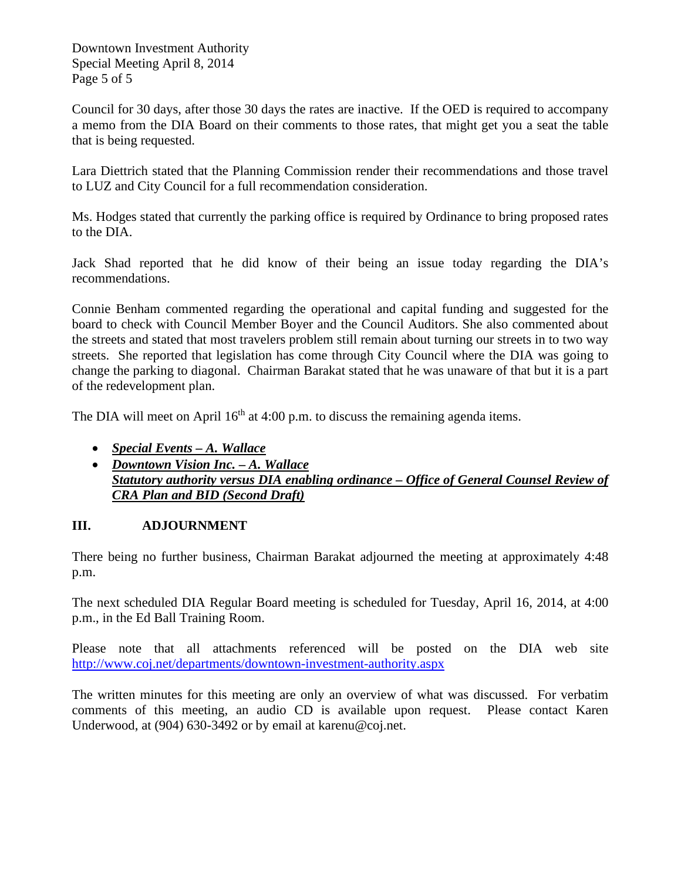Downtown Investment Authority Special Meeting April 8, 2014 Page 5 of 5

Council for 30 days, after those 30 days the rates are inactive. If the OED is required to accompany a memo from the DIA Board on their comments to those rates, that might get you a seat the table that is being requested.

Lara Diettrich stated that the Planning Commission render their recommendations and those travel to LUZ and City Council for a full recommendation consideration.

Ms. Hodges stated that currently the parking office is required by Ordinance to bring proposed rates to the DIA.

Jack Shad reported that he did know of their being an issue today regarding the DIA's recommendations.

Connie Benham commented regarding the operational and capital funding and suggested for the board to check with Council Member Boyer and the Council Auditors. She also commented about the streets and stated that most travelers problem still remain about turning our streets in to two way streets. She reported that legislation has come through City Council where the DIA was going to change the parking to diagonal. Chairman Barakat stated that he was unaware of that but it is a part of the redevelopment plan.

The DIA will meet on April  $16<sup>th</sup>$  at 4:00 p.m. to discuss the remaining agenda items.

- *Special Events – A. Wallace*
- *Downtown Vision Inc. – A. Wallace Statutory authority versus DIA enabling ordinance – Office of General Counsel Review of CRA Plan and BID (Second Draft)*

## **III. ADJOURNMENT**

There being no further business, Chairman Barakat adjourned the meeting at approximately 4:48 p.m.

The next scheduled DIA Regular Board meeting is scheduled for Tuesday, April 16, 2014, at 4:00 p.m., in the Ed Ball Training Room.

Please note that all attachments referenced will be posted on the DIA web site <http://www.coj.net/departments/downtown-investment-authority.aspx>

The written minutes for this meeting are only an overview of what was discussed. For verbatim comments of this meeting, an audio CD is available upon request. Please contact Karen Underwood, at (904) 630-3492 or by email at karenu@coj.net.